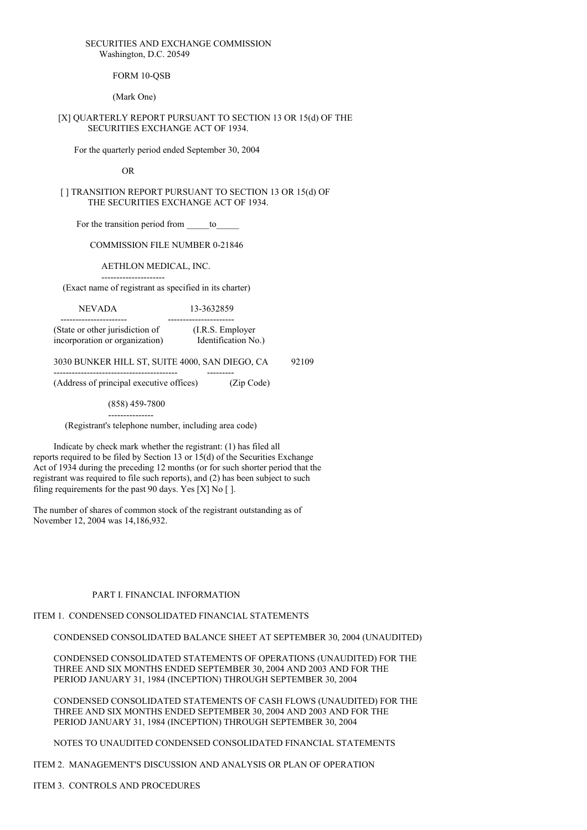## SECURITIES AND EXCHANGE COMMISSION Washington, D.C. 20549

FORM 10-OSB

(Mark One)

## [X] QUARTERLY REPORT PURSUANT TO SECTION 13 OR 15(d) OF THE SECURITIES EXCHANGE ACT OF 1934.

For the quarterly period ended September 30, 2004

OR

[ ] TRANSITION REPORT PURSUANT TO SECTION 13 OR 15(d) OF THE SECURITIES EXCHANGE ACT OF 1934.

For the transition period from to

COMMISSION FILE NUMBER 0-21846

AETHLON MEDICAL, INC.

--------------------- (Exact name of registrant as specified in its charter)

NEVADA 13-3632859

---------------------- ---------------------- (State or other jurisdiction of (I.R.S. Employer incorporation or organization) Identification No.)

3030 BUNKER HILL ST, SUITE 4000, SAN DIEGO, CA 92109

(Address of principal executive offices) (Zip Code)

----------------------------------------- ---------

(858) 459-7800 ---------------

(Registrant's telephone number, including area code)

Indicate by check mark whether the registrant: (1) has filed all reports required to be filed by Section 13 or 15(d) of the Securities Exchange Act of 1934 during the preceding 12 months (or for such shorter period that the registrant was required to file such reports), and (2) has been subject to such filing requirements for the past 90 days. Yes [X] No [ ].

The number of shares of common stock of the registrant outstanding as of November 12, 2004 was 14,186,932.

# PART I. FINANCIAL INFORMATION

# ITEM 1. CONDENSED CONSOLIDATED FINANCIAL STATEMENTS

CONDENSED CONSOLIDATED BALANCE SHEET AT SEPTEMBER 30, 2004 (UNAUDITED)

CONDENSED CONSOLIDATED STATEMENTS OF OPERATIONS (UNAUDITED) FOR THE THREE AND SIX MONTHS ENDED SEPTEMBER 30, 2004 AND 2003 AND FOR THE PERIOD JANUARY 31, 1984 (INCEPTION) THROUGH SEPTEMBER 30, 2004

CONDENSED CONSOLIDATED STATEMENTS OF CASH FLOWS (UNAUDITED) FOR THE THREE AND SIX MONTHS ENDED SEPTEMBER 30, 2004 AND 2003 AND FOR THE PERIOD JANUARY 31, 1984 (INCEPTION) THROUGH SEPTEMBER 30, 2004

NOTES TO UNAUDITED CONDENSED CONSOLIDATED FINANCIAL STATEMENTS

ITEM 2. MANAGEMENT'S DISCUSSION AND ANALYSIS OR PLAN OF OPERATION

ITEM 3. CONTROLS AND PROCEDURES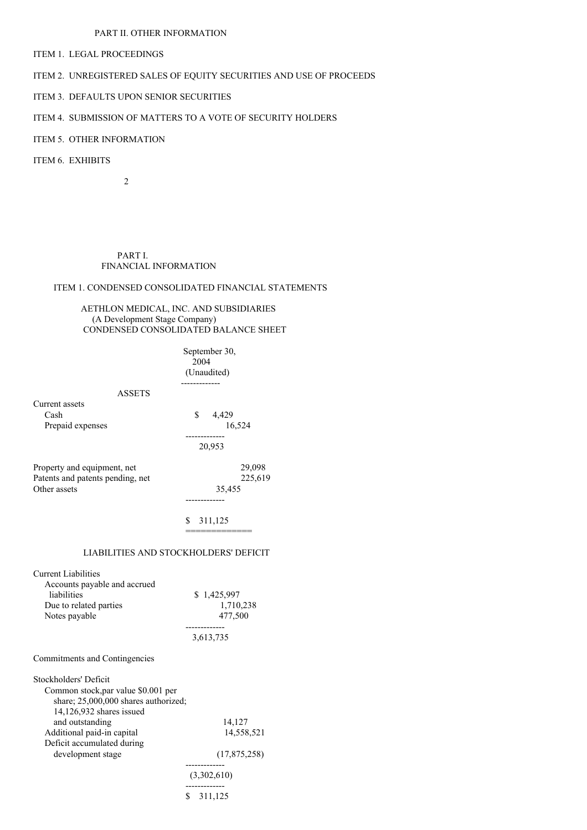# PART II. OTHER INFORMATION

ITEM 1. LEGAL PROCEEDINGS

# ITEM 2. UNREGISTERED SALES OF EQUITY SECURITIES AND USE OF PROCEEDS

ITEM 3. DEFAULTS UPON SENIOR SECURITIES

# ITEM 4. SUBMISSION OF MATTERS TO A VOTE OF SECURITY HOLDERS

# ITEM 5. OTHER INFORMATION

ITEM 6. EXHIBITS

2

# PART I. FINANCIAL INFORMATION

# ITEM 1. CONDENSED CONSOLIDATED FINANCIAL STATEMENTS

# AETHLON MEDICAL, INC. AND SUBSIDIARIES (A Development Stage Company) CONDENSED CONSOLIDATED BALANCE SHEET

|                                             | September 30,<br>2004 |  |  |  |  |
|---------------------------------------------|-----------------------|--|--|--|--|
|                                             | (Unaudited)           |  |  |  |  |
| <b>ASSETS</b>                               |                       |  |  |  |  |
| Current assets                              |                       |  |  |  |  |
| Cash                                        | \$4,429<br>16,524     |  |  |  |  |
| Prepaid expenses                            |                       |  |  |  |  |
|                                             | 20,953                |  |  |  |  |
| Property and equipment, net                 | 29,098                |  |  |  |  |
| Patents and patents pending, net            | 225,619               |  |  |  |  |
| Other assets                                | 35,455                |  |  |  |  |
|                                             |                       |  |  |  |  |
|                                             | S.<br>311,125         |  |  |  |  |
|                                             |                       |  |  |  |  |
| LIABILITIES AND STOCKHOLDERS' DEFICIT       |                       |  |  |  |  |
| <b>Current Liabilities</b>                  |                       |  |  |  |  |
| Accounts payable and accrued                |                       |  |  |  |  |
| liabilities                                 | \$1,425,997           |  |  |  |  |
| Due to related parties<br>Notes payable     | 1,710,238<br>477,500  |  |  |  |  |
|                                             |                       |  |  |  |  |
|                                             | 3,613,735             |  |  |  |  |
| Commitments and Contingencies               |                       |  |  |  |  |
| Stockholders' Deficit                       |                       |  |  |  |  |
| Common stock, par value \$0.001 per         |                       |  |  |  |  |
| share; 25,000,000 shares authorized;        |                       |  |  |  |  |
| 14,126,932 shares issued<br>and outstanding | 14,127                |  |  |  |  |
| Additional paid-in capital                  | 14,558,521            |  |  |  |  |
| Deficit accumulated during                  |                       |  |  |  |  |
| development stage                           | (17, 875, 258)        |  |  |  |  |
|                                             | (3,302,610)           |  |  |  |  |
|                                             | \$311,125             |  |  |  |  |
|                                             |                       |  |  |  |  |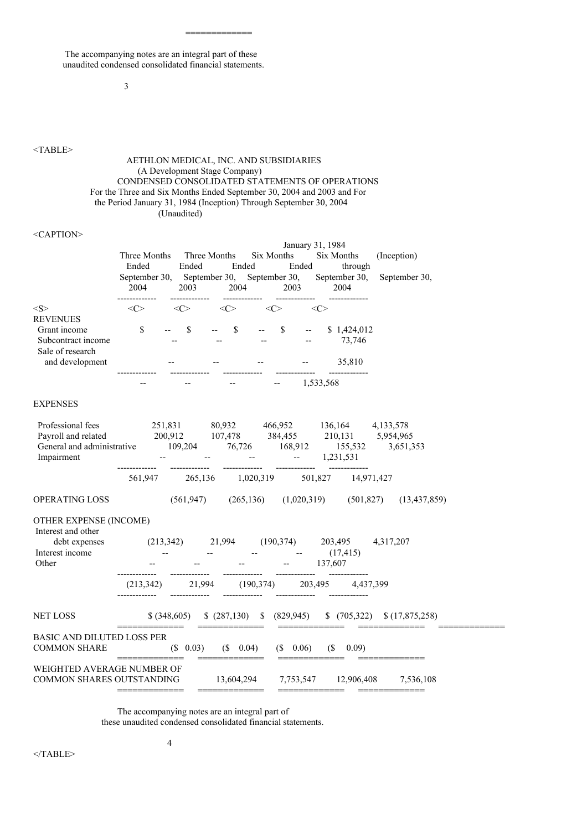The accompanying notes are an integral part of these unaudited condensed consolidated financial statements.

#### 3

# <TABLE>

# AETHLON MEDICAL, INC. AND SUBSIDIARIES (A Development Stage Company) CONDENSED CONSOLIDATED STATEMENTS OF OPERATIONS For the Three and Six Months Ended September 30, 2004 and 2003 and For the Period January 31, 1984 (Inception) Through September 30, 2004 (Unaudited)

=============

#### <CAPTION>

|                                                                                                                     | Three Months<br>Ended<br>September 30, September 30,<br>2004<br>. | Three Months<br>Ended<br>2003<br>----------- | Ended<br>2004<br>-------------                                                                                                                                                                                                                                                                                                                                                                                                                                                         | Six Months<br>September 30,<br>2003 | Ended<br>-------------   | January 31, 1984<br>Six Months<br>through<br>September 30,<br>2004<br>-------------            | (Inception)<br>September 30,                                                             |
|---------------------------------------------------------------------------------------------------------------------|-------------------------------------------------------------------|----------------------------------------------|----------------------------------------------------------------------------------------------------------------------------------------------------------------------------------------------------------------------------------------------------------------------------------------------------------------------------------------------------------------------------------------------------------------------------------------------------------------------------------------|-------------------------------------|--------------------------|------------------------------------------------------------------------------------------------|------------------------------------------------------------------------------------------|
| $<\!\!S\!\!>$                                                                                                       | <<>                                                               | <<>                                          | <<>                                                                                                                                                                                                                                                                                                                                                                                                                                                                                    | <<>                                 |                          | <<>                                                                                            |                                                                                          |
| <b>REVENUES</b><br>Grant income<br>Subcontract income<br>Sale of research                                           | \$                                                                | \$                                           | $\boldsymbol{\mathsf{S}}$                                                                                                                                                                                                                                                                                                                                                                                                                                                              | \$                                  | $\overline{\phantom{m}}$ | \$1,424,012<br>73,746                                                                          |                                                                                          |
| and development                                                                                                     |                                                                   |                                              |                                                                                                                                                                                                                                                                                                                                                                                                                                                                                        |                                     |                          | 35,810                                                                                         |                                                                                          |
|                                                                                                                     |                                                                   |                                              |                                                                                                                                                                                                                                                                                                                                                                                                                                                                                        |                                     |                          | 1,533,568                                                                                      |                                                                                          |
| EXPENSES                                                                                                            |                                                                   |                                              |                                                                                                                                                                                                                                                                                                                                                                                                                                                                                        |                                     |                          |                                                                                                |                                                                                          |
| Professional fees<br>Payroll and related<br>General and administrative 109,204 76,726 168,912 155,532<br>Impairment | 251,831<br>-------------                                          | -------------                                | -------------                                                                                                                                                                                                                                                                                                                                                                                                                                                                          |                                     |                          | 80,932 466,952 136,164 4,133,578<br>200,912 107,478 384,455 210,131 5,954,965<br>$- 1,231,531$ | 3,651,353                                                                                |
|                                                                                                                     |                                                                   |                                              |                                                                                                                                                                                                                                                                                                                                                                                                                                                                                        |                                     |                          | 561,947 265,136 1,020,319 501,827 14,971,427                                                   |                                                                                          |
| OPERATING LOSS                                                                                                      |                                                                   |                                              | $(561,947)$ $(265,136)$ $(1,020,319)$                                                                                                                                                                                                                                                                                                                                                                                                                                                  |                                     |                          | (501, 827)                                                                                     | (13, 437, 859)                                                                           |
| OTHER EXPENSE (INCOME)<br>Interest and other                                                                        |                                                                   |                                              |                                                                                                                                                                                                                                                                                                                                                                                                                                                                                        |                                     |                          |                                                                                                |                                                                                          |
| debt expenses<br>Interest income<br>Other                                                                           | $(213,342)$ 21,994                                                |                                              |                                                                                                                                                                                                                                                                                                                                                                                                                                                                                        |                                     |                          | $(190,374)$ 203,495<br>(17, 415)<br>$-137,607$                                                 | 4,317,207                                                                                |
|                                                                                                                     | (213, 342)                                                        | 21,994                                       |                                                                                                                                                                                                                                                                                                                                                                                                                                                                                        |                                     |                          | $(190,374)$ $203,495$ $4,437,399$                                                              |                                                                                          |
| NET LOSS                                                                                                            | ____________                                                      |                                              | $\begin{array}{cccccccccccccc} \multicolumn{2}{c}{} & \multicolumn{2}{c}{} & \multicolumn{2}{c}{} & \multicolumn{2}{c}{} & \multicolumn{2}{c}{} & \multicolumn{2}{c}{} & \multicolumn{2}{c}{} & \multicolumn{2}{c}{} & \multicolumn{2}{c}{} & \multicolumn{2}{c}{} & \multicolumn{2}{c}{} & \multicolumn{2}{c}{} & \multicolumn{2}{c}{} & \multicolumn{2}{c}{} & \multicolumn{2}{c}{} & \multicolumn{2}{c}{} & \multicolumn{2}{c}{} & \multicolumn{2}{c}{} & \multicolumn{2}{c}{} & \$ |                                     |                          |                                                                                                | $$ (348,605) \quad $ (287,130) \quad $ (829,945) \quad $ (705,322) \quad $ (17,875,258)$ |
| BASIC AND DILUTED LOSS PER<br><b>COMMON SHARE</b>                                                                   |                                                                   | $(S \t 0.03)$                                | $(S \t 0.04)$                                                                                                                                                                                                                                                                                                                                                                                                                                                                          |                                     | $(S \t 0.06)$            | $(S = 0.09)$                                                                                   |                                                                                          |
| WEIGHTED AVERAGE NUMBER OF<br>COMMON SHARES OUTSTANDING                                                             |                                                                   |                                              |                                                                                                                                                                                                                                                                                                                                                                                                                                                                                        |                                     |                          | 13,604,294 7,753,547 12,906,408<br>$=$ ==============                                          | 7,536,108                                                                                |

The accompanying notes are an integral part of

4

these unaudited condensed consolidated financial statements.

 $<$ /TABLE>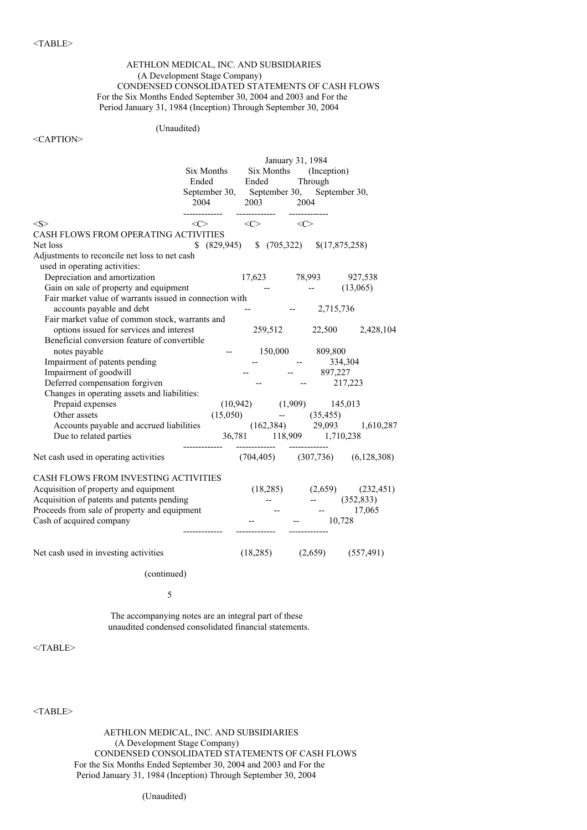# AETHLON MEDICAL, INC. AND SUBSIDIARIES (A Development Stage Company) CONDENSED CONSOLIDATED STATEMENTS OF CASH FLOWS For the Six Months Ended September 30, 2004 and 2003 and For the Period January 31, 1984 (Inception) Through September 30, 2004

# (Unaudited)

## <CAPTION>

|                                                         | January 31, 1984                                     |                                         |               |                         |                                              |
|---------------------------------------------------------|------------------------------------------------------|-----------------------------------------|---------------|-------------------------|----------------------------------------------|
|                                                         | Six Months (Inception)<br>Six Months                 |                                         |               |                         |                                              |
|                                                         | Ended                                                | Ended                                   |               | Through                 |                                              |
|                                                         | September 30, September 30, September 30,            |                                         |               |                         |                                              |
|                                                         | 2004                                                 | 2003                                    | 2004          |                         |                                              |
|                                                         | -------------                                        | -------------                           | ------------- |                         |                                              |
| <s></s>                                                 | $\langle$ $\rangle$                                  | $\langle C \rangle$ $\langle C \rangle$ |               |                         |                                              |
| CASH FLOWS FROM OPERATING ACTIVITIES                    |                                                      |                                         |               |                         |                                              |
| Net loss                                                | $$ (829,945) \quad $ (705,322) \quad $ (17,875,258)$ |                                         |               |                         |                                              |
| Adjustments to reconcile net loss to net cash           |                                                      |                                         |               |                         |                                              |
| used in operating activities:                           |                                                      |                                         |               |                         |                                              |
| Depreciation and amortization                           |                                                      |                                         |               |                         | 17,623 78,993 927,538                        |
| Gain on sale of property and equipment                  |                                                      |                                         |               |                         | $-$ (13,065)                                 |
| Fair market value of warrants issued in connection with |                                                      |                                         |               |                         |                                              |
| accounts payable and debt                               |                                                      |                                         |               | $-2,715,736$            |                                              |
| Fair market value of common stock, warrants and         |                                                      |                                         |               |                         |                                              |
| options issued for services and interest                |                                                      |                                         |               |                         | 259,512 22,500 2,428,104                     |
| Beneficial conversion feature of convertible            |                                                      |                                         |               |                         |                                              |
| notes payable                                           | $\overline{\phantom{a}}$                             |                                         |               | 150,000 809,800         |                                              |
| Impairment of patents pending                           |                                                      |                                         |               | 334,304                 |                                              |
| Impairment of goodwill                                  |                                                      |                                         |               | $-897,227$              |                                              |
| Deferred compensation forgiven                          |                                                      |                                         |               | $-217,223$              |                                              |
| Changes in operating assets and liabilities:            |                                                      |                                         |               |                         |                                              |
| Prepaid expenses                                        |                                                      | $(10,942)$ $(1,909)$ $145,013$          |               |                         |                                              |
| Other assets                                            |                                                      | (15,050)                                |               |                         |                                              |
| Accounts payable and accrued liabilities                |                                                      |                                         |               |                         | $(162,384)$ $(35,455)$<br>29,093 $1,610,287$ |
| Due to related parties                                  |                                                      | 36,781 118,909 1,710,238                |               |                         |                                              |
|                                                         |                                                      |                                         |               |                         |                                              |
| Net cash used in operating activities                   |                                                      |                                         |               |                         | $(704,405)$ $(307,736)$ $(6,128,308)$        |
|                                                         |                                                      |                                         |               |                         |                                              |
| CASH FLOWS FROM INVESTING ACTIVITIES                    |                                                      |                                         |               |                         |                                              |
| Acquisition of property and equipment                   |                                                      |                                         |               |                         | $(18,285)$ $(2,659)$ $(232,451)$             |
| Acquisition of patents and patents pending              |                                                      |                                         |               |                         | $-$ (352,833)                                |
| Proceeds from sale of property and equipment            |                                                      |                                         |               | <b>Here</b> is a strong | 17,065                                       |
| Cash of acquired company                                |                                                      |                                         |               | 10,728                  |                                              |
|                                                         |                                                      |                                         |               |                         |                                              |
|                                                         |                                                      |                                         |               |                         |                                              |
| Net cash used in investing activities                   |                                                      | (18,285)                                |               |                         | $(2,659)$ $(557,491)$                        |
|                                                         |                                                      |                                         |               |                         |                                              |
|                                                         |                                                      |                                         |               |                         |                                              |

(continued)

5

The accompanying notes are an integral part of these unaudited condensed consolidated financial statements.

 $<$ /TABLE>

<TABLE>

AETHLON MEDICAL, INC. AND SUBSIDIARIES (A Development Stage Company) CONDENSED CONSOLIDATED STATEMENTS OF CASH FLOWS For the Six Months Ended September 30, 2004 and 2003 and For the Period January 31, 1984 (Inception) Through September 30, 2004

(Unaudited)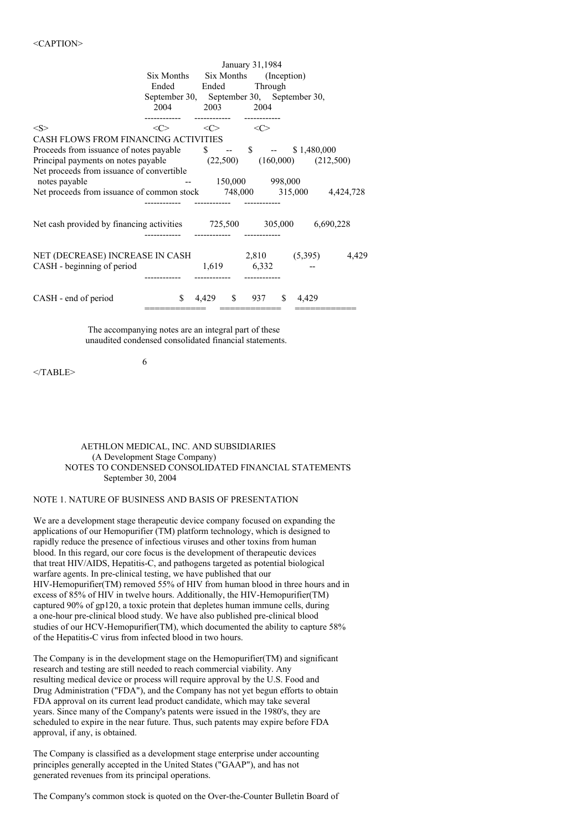|                                                                                    | January 31,1984                           |                       |                        |              |           |  |
|------------------------------------------------------------------------------------|-------------------------------------------|-----------------------|------------------------|--------------|-----------|--|
|                                                                                    | Six Months                                |                       | Six Months (Inception) |              |           |  |
|                                                                                    |                                           | Ended Ended           | Through                |              |           |  |
|                                                                                    | September 30, September 30, September 30, |                       |                        |              |           |  |
|                                                                                    | 2004                                      | 2003                  | 2004                   |              |           |  |
|                                                                                    |                                           |                       |                        |              |           |  |
| < S >                                                                              | $\langle C \rangle$                       | $\langle C \rangle$   | $\langle C \rangle$    |              |           |  |
| CASH FLOWS FROM FINANCING ACTIVITIES                                               |                                           |                       |                        |              |           |  |
| Proceeds from issuance of notes payable $\qquad$ \$ -- \$ $\qquad$ -- \$ 1,480,000 |                                           |                       |                        |              |           |  |
| Principal payments on notes payable $(22,500)$ $(160,000)$ $(212,500)$             |                                           |                       |                        |              |           |  |
| Net proceeds from issuance of convertible<br>notes payable                         |                                           |                       | 150,000 998,000        |              |           |  |
| Net proceeds from issuance of common stock $748,000$ $315,000$ $4,424,728$         |                                           |                       |                        |              |           |  |
|                                                                                    |                                           |                       |                        |              |           |  |
|                                                                                    |                                           |                       |                        |              |           |  |
| Net cash provided by financing activities 725,500 305,000                          |                                           |                       |                        |              | 6,690,228 |  |
|                                                                                    |                                           |                       |                        |              |           |  |
|                                                                                    |                                           |                       |                        |              |           |  |
| NET (DECREASE) INCREASE IN CASH                                                    |                                           |                       | 2,810 (5,395)          |              | 4,429     |  |
| CASH - beginning of period                                                         |                                           | 1,619                 | 6,332                  |              |           |  |
|                                                                                    |                                           |                       |                        |              |           |  |
| CASH - end of period                                                               | \$.                                       | 4,429<br>$\mathbb{S}$ | 937                    | \$.<br>4,429 |           |  |
|                                                                                    |                                           |                       |                        |              |           |  |

The accompanying notes are an integral part of these unaudited condensed consolidated financial statements.

6

 $<$ /TABLE>

# AETHLON MEDICAL, INC. AND SUBSIDIARIES (A Development Stage Company) NOTES TO CONDENSED CONSOLIDATED FINANCIAL STATEMENTS September 30, 2004

#### NOTE 1. NATURE OF BUSINESS AND BASIS OF PRESENTATION

We are a development stage therapeutic device company focused on expanding the applications of our Hemopurifier (TM) platform technology, which is designed to rapidly reduce the presence of infectious viruses and other toxins from human blood. In this regard, our core focus is the development of therapeutic devices that treat HIV/AIDS, Hepatitis-C, and pathogens targeted as potential biological warfare agents. In pre-clinical testing, we have published that our HIV-Hemopurifier(TM) removed 55% of HIV from human blood in three hours and in excess of 85% of HIV in twelve hours. Additionally, the HIV-Hemopurifier(TM) captured 90% of gp120, a toxic protein that depletes human immune cells, during a one-hour pre-clinical blood study. We have also published pre-clinical blood studies of our HCV-Hemopurifier(TM), which documented the ability to capture 58% of the Hepatitis-C virus from infected blood in two hours.

The Company is in the development stage on the Hemopurifier(TM) and significant research and testing are still needed to reach commercial viability. Any resulting medical device or process will require approval by the U.S. Food and Drug Administration ("FDA"), and the Company has not yet begun efforts to obtain FDA approval on its current lead product candidate, which may take several years. Since many of the Company's patents were issued in the 1980's, they are scheduled to expire in the near future. Thus, such patents may expire before FDA approval, if any, is obtained.

The Company is classified as a development stage enterprise under accounting principles generally accepted in the United States ("GAAP"), and has not generated revenues from its principal operations.

The Company's common stock is quoted on the Over-the-Counter Bulletin Board of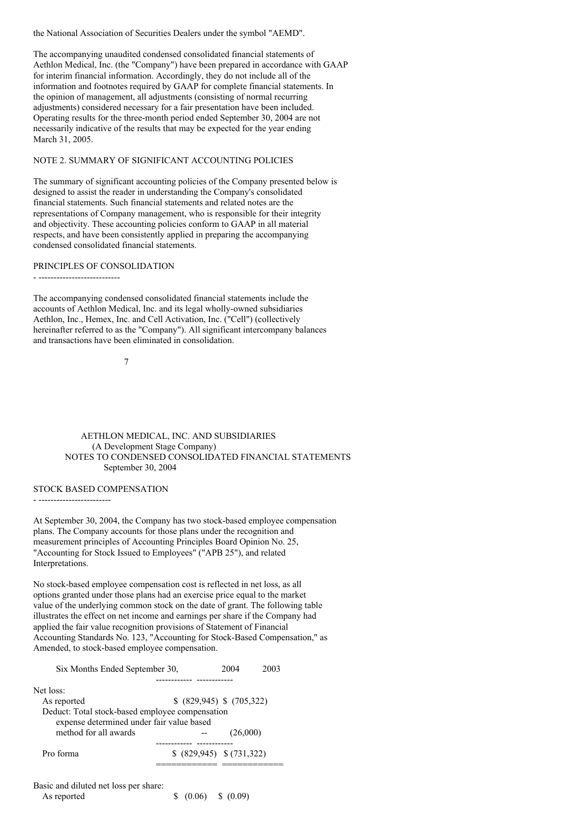the National Association of Securities Dealers under the symbol "AEMD".

The accompanying unaudited condensed consolidated financial statements of Aethlon Medical, Inc. (the "Company") have been prepared in accordance with GAAP for interim financial information. Accordingly, they do not include all of the information and footnotes required by GAAP for complete financial statements. In the opinion of management, all adjustments (consisting of normal recurring adjustments) considered necessary for a fair presentation have been included. Operating results for the three-month period ended September 30, 2004 are not necessarily indicative of the results that may be expected for the year ending March 31, 2005.

#### NOTE 2. SUMMARY OF SIGNIFICANT ACCOUNTING POLICIES

The summary of significant accounting policies of the Company presented below is designed to assist the reader in understanding the Company's consolidated financial statements. Such financial statements and related notes are the representations of Company management, who is responsible for their integrity and objectivity. These accounting policies conform to GAAP in all material respects, and have been consistently applied in preparing the accompanying condensed consolidated financial statements.

# PRINCIPLES OF CONSOLIDATION

- ---------------------------

The accompanying condensed consolidated financial statements include the accounts of Aethlon Medical, Inc. and its legal wholly-owned subsidiaries Aethlon, Inc., Hemex, Inc. and Cell Activation, Inc. ("Cell") (collectively hereinafter referred to as the "Company"). All significant intercompany balances and transactions have been eliminated in consolidation.

7

AETHLON MEDICAL, INC. AND SUBSIDIARIES (A Development Stage Company) NOTES TO CONDENSED CONSOLIDATED FINANCIAL STATEMENTS September 30, 2004

# STOCK BASED COMPENSATION

- ------------------------

At September 30, 2004, the Company has two stock-based employee compensation plans. The Company accounts for those plans under the recognition and measurement principles of Accounting Principles Board Opinion No. 25, "Accounting for Stock Issued to Employees" ("APB 25"), and related Interpretations.

No stock-based employee compensation cost is reflected in net loss, as all options granted under those plans had an exercise price equal to the market value of the underlying common stock on the date of grant. The following table illustrates the effect on net income and earnings per share if the Company had applied the fair value recognition provisions of Statement of Financial Accounting Standards No. 123, "Accounting for Stock-Based Compensation," as Amended, to stock-based employee compensation.

| Six Months Ended September 30,                                                                                        |                           | 2004     | 2003 |  |  |  |
|-----------------------------------------------------------------------------------------------------------------------|---------------------------|----------|------|--|--|--|
|                                                                                                                       |                           |          |      |  |  |  |
| Net loss:                                                                                                             |                           |          |      |  |  |  |
| As reported                                                                                                           | \$ (829,945) \$ (705,322) |          |      |  |  |  |
| Deduct: Total stock-based employee compensation<br>expense determined under fair value based<br>method for all awards |                           | (26,000) |      |  |  |  |
|                                                                                                                       |                           |          |      |  |  |  |
| Pro forma                                                                                                             | \$ (829,945) \$ (731,322) |          |      |  |  |  |
| Basic and diluted net loss per share:                                                                                 |                           |          |      |  |  |  |

| reste and analog not loss per share. |                     |  |
|--------------------------------------|---------------------|--|
| As reported                          | \$ (0.06) \$ (0.09) |  |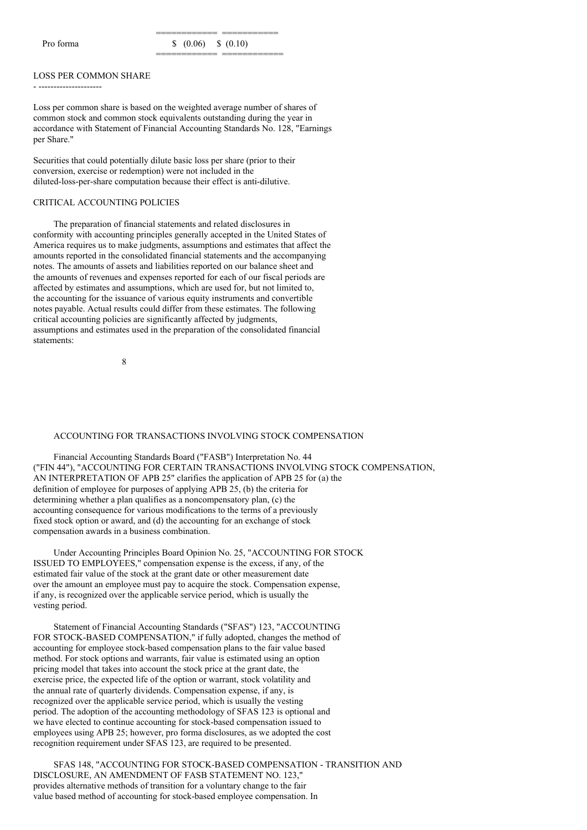### LOSS PER COMMON SHARE

- ---------------------

Loss per common share is based on the weighted average number of shares of common stock and common stock equivalents outstanding during the year in accordance with Statement of Financial Accounting Standards No. 128, "Earnings per Share."

Securities that could potentially dilute basic loss per share (prior to their conversion, exercise or redemption) were not included in the diluted-loss-per-share computation because their effect is anti-dilutive.

# CRITICAL ACCOUNTING POLICIES

The preparation of financial statements and related disclosures in conformity with accounting principles generally accepted in the United States of America requires us to make judgments, assumptions and estimates that affect the amounts reported in the consolidated financial statements and the accompanying notes. The amounts of assets and liabilities reported on our balance sheet and the amounts of revenues and expenses reported for each of our fiscal periods are affected by estimates and assumptions, which are used for, but not limited to, the accounting for the issuance of various equity instruments and convertible notes payable. Actual results could differ from these estimates. The following critical accounting policies are significantly affected by judgments, assumptions and estimates used in the preparation of the consolidated financial statements:

8

#### ACCOUNTING FOR TRANSACTIONS INVOLVING STOCK COMPENSATION

Financial Accounting Standards Board ("FASB") Interpretation No. 44 ("FIN 44"), "ACCOUNTING FOR CERTAIN TRANSACTIONS INVOLVING STOCK COMPENSATION, AN INTERPRETATION OF APB 25" clarifies the application of APB 25 for (a) the definition of employee for purposes of applying APB 25, (b) the criteria for determining whether a plan qualifies as a noncompensatory plan, (c) the accounting consequence for various modifications to the terms of a previously fixed stock option or award, and (d) the accounting for an exchange of stock compensation awards in a business combination.

Under Accounting Principles Board Opinion No. 25, "ACCOUNTING FOR STOCK ISSUED TO EMPLOYEES," compensation expense is the excess, if any, of the estimated fair value of the stock at the grant date or other measurement date over the amount an employee must pay to acquire the stock. Compensation expense, if any, is recognized over the applicable service period, which is usually the vesting period.

Statement of Financial Accounting Standards ("SFAS") 123, "ACCOUNTING FOR STOCK-BASED COMPENSATION," if fully adopted, changes the method of accounting for employee stock-based compensation plans to the fair value based method. For stock options and warrants, fair value is estimated using an option pricing model that takes into account the stock price at the grant date, the exercise price, the expected life of the option or warrant, stock volatility and the annual rate of quarterly dividends. Compensation expense, if any, is recognized over the applicable service period, which is usually the vesting period. The adoption of the accounting methodology of SFAS 123 is optional and we have elected to continue accounting for stock-based compensation issued to employees using APB 25; however, pro forma disclosures, as we adopted the cost recognition requirement under SFAS 123, are required to be presented.

SFAS 148, "ACCOUNTING FOR STOCK-BASED COMPENSATION - TRANSITION AND DISCLOSURE, AN AMENDMENT OF FASB STATEMENT NO. 123," provides alternative methods of transition for a voluntary change to the fair value based method of accounting for stock-based employee compensation. In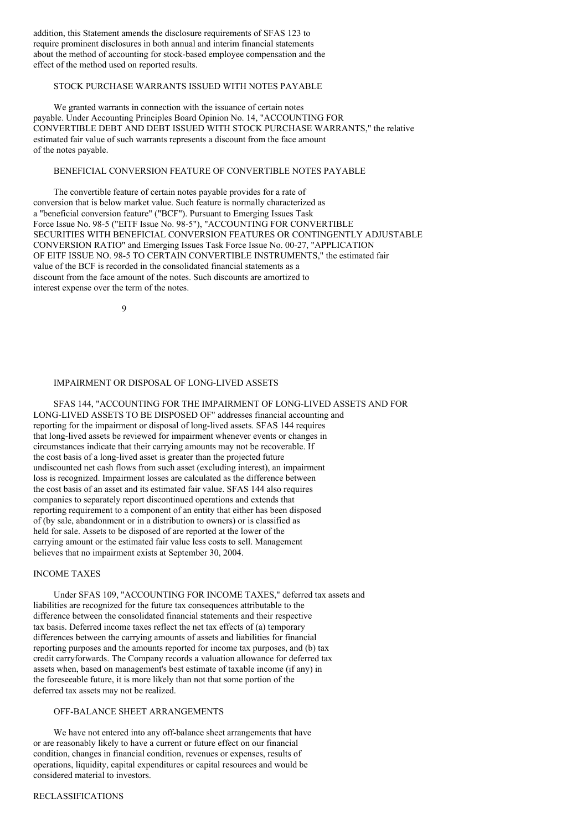addition, this Statement amends the disclosure requirements of SFAS 123 to require prominent disclosures in both annual and interim financial statements about the method of accounting for stock-based employee compensation and the effect of the method used on reported results.

# STOCK PURCHASE WARRANTS ISSUED WITH NOTES PAYABLE

We granted warrants in connection with the issuance of certain notes payable. Under Accounting Principles Board Opinion No. 14, "ACCOUNTING FOR CONVERTIBLE DEBT AND DEBT ISSUED WITH STOCK PURCHASE WARRANTS," the relative estimated fair value of such warrants represents a discount from the face amount of the notes payable.

# BENEFICIAL CONVERSION FEATURE OF CONVERTIBLE NOTES PAYABLE

The convertible feature of certain notes payable provides for a rate of conversion that is below market value. Such feature is normally characterized as a "beneficial conversion feature" ("BCF"). Pursuant to Emerging Issues Task Force Issue No. 98-5 ("EITF Issue No. 98-5"), "ACCOUNTING FOR CONVERTIBLE SECURITIES WITH BENEFICIAL CONVERSION FEATURES OR CONTINGENTLY ADJUSTABLE CONVERSION RATIO" and Emerging Issues Task Force Issue No. 00-27, "APPLICATION OF EITF ISSUE NO. 98-5 TO CERTAIN CONVERTIBLE INSTRUMENTS," the estimated fair value of the BCF is recorded in the consolidated financial statements as a discount from the face amount of the notes. Such discounts are amortized to interest expense over the term of the notes.

 $\overline{Q}$ 

# IMPAIRMENT OR DISPOSAL OF LONG-LIVED ASSETS

SFAS 144, "ACCOUNTING FOR THE IMPAIRMENT OF LONG-LIVED ASSETS AND FOR LONG-LIVED ASSETS TO BE DISPOSED OF" addresses financial accounting and reporting for the impairment or disposal of long-lived assets. SFAS 144 requires that long-lived assets be reviewed for impairment whenever events or changes in circumstances indicate that their carrying amounts may not be recoverable. If the cost basis of a long-lived asset is greater than the projected future undiscounted net cash flows from such asset (excluding interest), an impairment loss is recognized. Impairment losses are calculated as the difference between the cost basis of an asset and its estimated fair value. SFAS 144 also requires companies to separately report discontinued operations and extends that reporting requirement to a component of an entity that either has been disposed of (by sale, abandonment or in a distribution to owners) or is classified as held for sale. Assets to be disposed of are reported at the lower of the carrying amount or the estimated fair value less costs to sell. Management believes that no impairment exists at September 30, 2004.

#### INCOME TAXES

Under SFAS 109, "ACCOUNTING FOR INCOME TAXES," deferred tax assets and liabilities are recognized for the future tax consequences attributable to the difference between the consolidated financial statements and their respective tax basis. Deferred income taxes reflect the net tax effects of (a) temporary differences between the carrying amounts of assets and liabilities for financial reporting purposes and the amounts reported for income tax purposes, and (b) tax credit carryforwards. The Company records a valuation allowance for deferred tax assets when, based on management's best estimate of taxable income (if any) in the foreseeable future, it is more likely than not that some portion of the deferred tax assets may not be realized.

# OFF-BALANCE SHEET ARRANGEMENTS

We have not entered into any off-balance sheet arrangements that have or are reasonably likely to have a current or future effect on our financial condition, changes in financial condition, revenues or expenses, results of operations, liquidity, capital expenditures or capital resources and would be considered material to investors.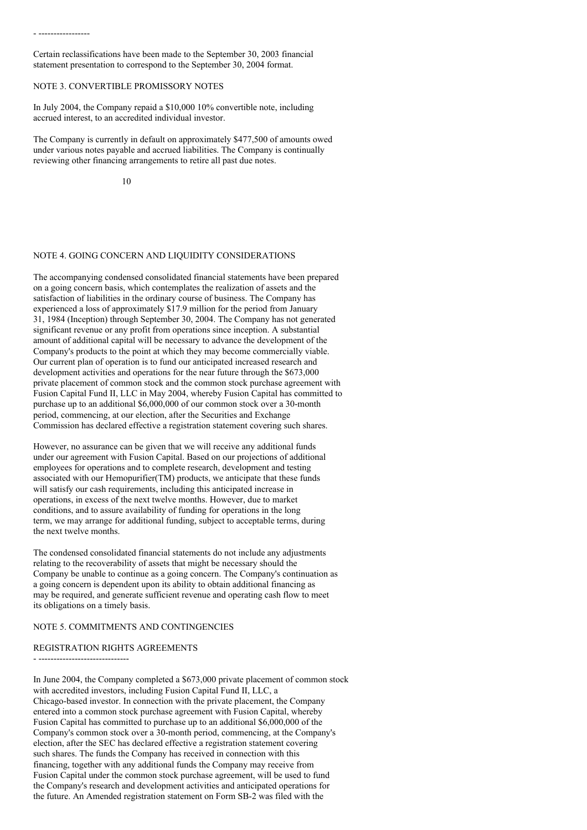# NOTE 3. CONVERTIBLE PROMISSORY NOTES

- -----------------

In July 2004, the Company repaid a \$10,000 10% convertible note, including accrued interest, to an accredited individual investor.

The Company is currently in default on approximately \$477,500 of amounts owed under various notes payable and accrued liabilities. The Company is continually reviewing other financing arrangements to retire all past due notes.

10

# NOTE 4. GOING CONCERN AND LIQUIDITY CONSIDERATIONS

The accompanying condensed consolidated financial statements have been prepared on a going concern basis, which contemplates the realization of assets and the satisfaction of liabilities in the ordinary course of business. The Company has experienced a loss of approximately \$17.9 million for the period from January 31, 1984 (Inception) through September 30, 2004. The Company has not generated significant revenue or any profit from operations since inception. A substantial amount of additional capital will be necessary to advance the development of the Company's products to the point at which they may become commercially viable. Our current plan of operation is to fund our anticipated increased research and development activities and operations for the near future through the \$673,000 private placement of common stock and the common stock purchase agreement with Fusion Capital Fund II, LLC in May 2004, whereby Fusion Capital has committed to purchase up to an additional \$6,000,000 of our common stock over a 30-month period, commencing, at our election, after the Securities and Exchange Commission has declared effective a registration statement covering such shares.

However, no assurance can be given that we will receive any additional funds under our agreement with Fusion Capital. Based on our projections of additional employees for operations and to complete research, development and testing associated with our Hemopurifier(TM) products, we anticipate that these funds will satisfy our cash requirements, including this anticipated increase in operations, in excess of the next twelve months. However, due to market conditions, and to assure availability of funding for operations in the long term, we may arrange for additional funding, subject to acceptable terms, during the next twelve months.

The condensed consolidated financial statements do not include any adjustments relating to the recoverability of assets that might be necessary should the Company be unable to continue as a going concern. The Company's continuation as a going concern is dependent upon its ability to obtain additional financing as may be required, and generate sufficient revenue and operating cash flow to meet its obligations on a timely basis.

# NOTE 5. COMMITMENTS AND CONTINGENCIES

# REGISTRATION RIGHTS AGREEMENTS

- ------------------------------

In June 2004, the Company completed a \$673,000 private placement of common stock with accredited investors, including Fusion Capital Fund II, LLC, a Chicago-based investor. In connection with the private placement, the Company entered into a common stock purchase agreement with Fusion Capital, whereby Fusion Capital has committed to purchase up to an additional \$6,000,000 of the Company's common stock over a 30-month period, commencing, at the Company's election, after the SEC has declared effective a registration statement covering such shares. The funds the Company has received in connection with this financing, together with any additional funds the Company may receive from Fusion Capital under the common stock purchase agreement, will be used to fund the Company's research and development activities and anticipated operations for the future. An Amended registration statement on Form SB-2 was filed with the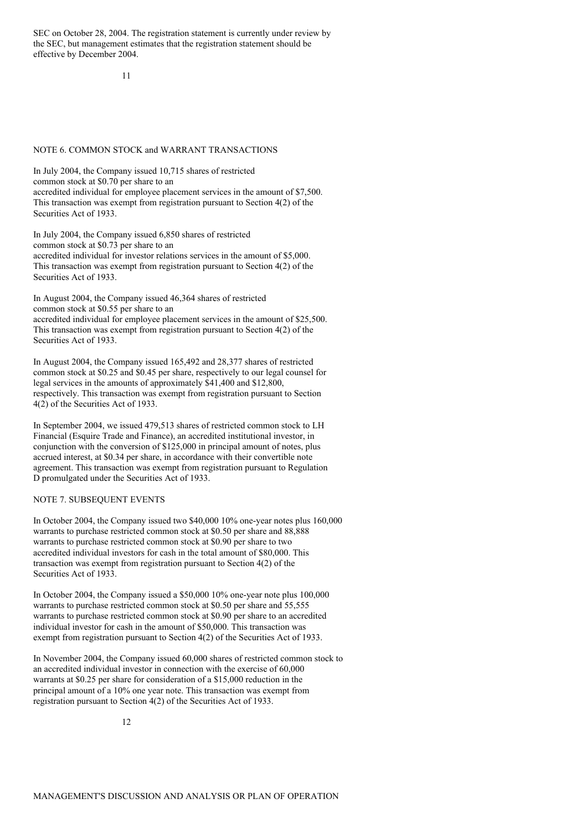SEC on October 28, 2004. The registration statement is currently under review by the SEC, but management estimates that the registration statement should be effective by December 2004.

11

#### NOTE 6. COMMON STOCK and WARRANT TRANSACTIONS

In July 2004, the Company issued 10,715 shares of restricted common stock at \$0.70 per share to an accredited individual for employee placement services in the amount of \$7,500. This transaction was exempt from registration pursuant to Section 4(2) of the Securities Act of 1933.

In July 2004, the Company issued 6,850 shares of restricted common stock at \$0.73 per share to an accredited individual for investor relations services in the amount of \$5,000. This transaction was exempt from registration pursuant to Section 4(2) of the Securities Act of 1933.

In August 2004, the Company issued 46,364 shares of restricted common stock at \$0.55 per share to an

accredited individual for employee placement services in the amount of \$25,500. This transaction was exempt from registration pursuant to Section 4(2) of the Securities Act of 1933.

In August 2004, the Company issued 165,492 and 28,377 shares of restricted common stock at \$0.25 and \$0.45 per share, respectively to our legal counsel for legal services in the amounts of approximately \$41,400 and \$12,800, respectively. This transaction was exempt from registration pursuant to Section 4(2) of the Securities Act of 1933.

In September 2004, we issued 479,513 shares of restricted common stock to LH Financial (Esquire Trade and Finance), an accredited institutional investor, in conjunction with the conversion of \$125,000 in principal amount of notes, plus accrued interest, at \$0.34 per share, in accordance with their convertible note agreement. This transaction was exempt from registration pursuant to Regulation D promulgated under the Securities Act of 1933.

#### NOTE 7. SUBSEQUENT EVENTS

In October 2004, the Company issued two \$40,000 10% one-year notes plus 160,000 warrants to purchase restricted common stock at \$0.50 per share and 88,888 warrants to purchase restricted common stock at \$0.90 per share to two accredited individual investors for cash in the total amount of \$80,000. This transaction was exempt from registration pursuant to Section 4(2) of the Securities Act of 1933.

In October 2004, the Company issued a \$50,000 10% one-year note plus 100,000 warrants to purchase restricted common stock at \$0.50 per share and 55,555 warrants to purchase restricted common stock at \$0.90 per share to an accredited individual investor for cash in the amount of \$50,000. This transaction was exempt from registration pursuant to Section 4(2) of the Securities Act of 1933.

In November 2004, the Company issued 60,000 shares of restricted common stock to an accredited individual investor in connection with the exercise of 60,000 warrants at \$0.25 per share for consideration of a \$15,000 reduction in the principal amount of a 10% one year note. This transaction was exempt from registration pursuant to Section 4(2) of the Securities Act of 1933.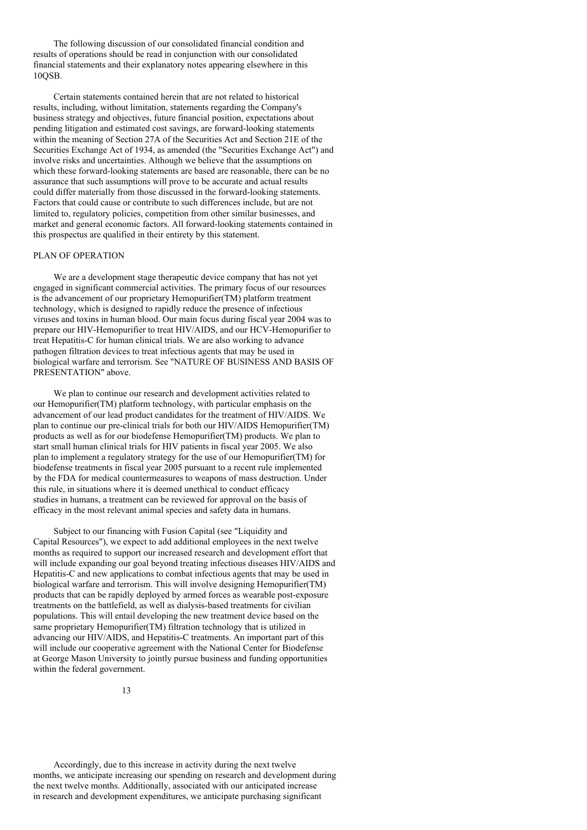The following discussion of our consolidated financial condition and results of operations should be read in conjunction with our consolidated financial statements and their explanatory notes appearing elsewhere in this 10QSB.

Certain statements contained herein that are not related to historical results, including, without limitation, statements regarding the Company's business strategy and objectives, future financial position, expectations about pending litigation and estimated cost savings, are forward-looking statements within the meaning of Section 27A of the Securities Act and Section 21E of the Securities Exchange Act of 1934, as amended (the "Securities Exchange Act") and involve risks and uncertainties. Although we believe that the assumptions on which these forward-looking statements are based are reasonable, there can be no assurance that such assumptions will prove to be accurate and actual results could differ materially from those discussed in the forward-looking statements. Factors that could cause or contribute to such differences include, but are not limited to, regulatory policies, competition from other similar businesses, and market and general economic factors. All forward-looking statements contained in this prospectus are qualified in their entirety by this statement.

# PLAN OF OPERATION

We are a development stage therapeutic device company that has not yet engaged in significant commercial activities. The primary focus of our resources is the advancement of our proprietary Hemopurifier(TM) platform treatment technology, which is designed to rapidly reduce the presence of infectious viruses and toxins in human blood. Our main focus during fiscal year 2004 was to prepare our HIV-Hemopurifier to treat HIV/AIDS, and our HCV-Hemopurifier to treat Hepatitis-C for human clinical trials. We are also working to advance pathogen filtration devices to treat infectious agents that may be used in biological warfare and terrorism. See "NATURE OF BUSINESS AND BASIS OF PRESENTATION" above.

We plan to continue our research and development activities related to our Hemopurifier(TM) platform technology, with particular emphasis on the advancement of our lead product candidates for the treatment of HIV/AIDS. We plan to continue our pre-clinical trials for both our HIV/AIDS Hemopurifier(TM) products as well as for our biodefense Hemopurifier(TM) products. We plan to start small human clinical trials for HIV patients in fiscal year 2005. We also plan to implement a regulatory strategy for the use of our Hemopurifier(TM) for biodefense treatments in fiscal year 2005 pursuant to a recent rule implemented by the FDA for medical countermeasures to weapons of mass destruction. Under this rule, in situations where it is deemed unethical to conduct efficacy studies in humans, a treatment can be reviewed for approval on the basis of efficacy in the most relevant animal species and safety data in humans.

Subject to our financing with Fusion Capital (see "Liquidity and Capital Resources"), we expect to add additional employees in the next twelve months as required to support our increased research and development effort that will include expanding our goal beyond treating infectious diseases HIV/AIDS and Hepatitis-C and new applications to combat infectious agents that may be used in biological warfare and terrorism. This will involve designing Hemopurifier(TM) products that can be rapidly deployed by armed forces as wearable post-exposure treatments on the battlefield, as well as dialysis-based treatments for civilian populations. This will entail developing the new treatment device based on the same proprietary Hemopurifier(TM) filtration technology that is utilized in advancing our HIV/AIDS, and Hepatitis-C treatments. An important part of this will include our cooperative agreement with the National Center for Biodefense at George Mason University to jointly pursue business and funding opportunities within the federal government.

Accordingly, due to this increase in activity during the next twelve months, we anticipate increasing our spending on research and development during the next twelve months. Additionally, associated with our anticipated increase in research and development expenditures, we anticipate purchasing significant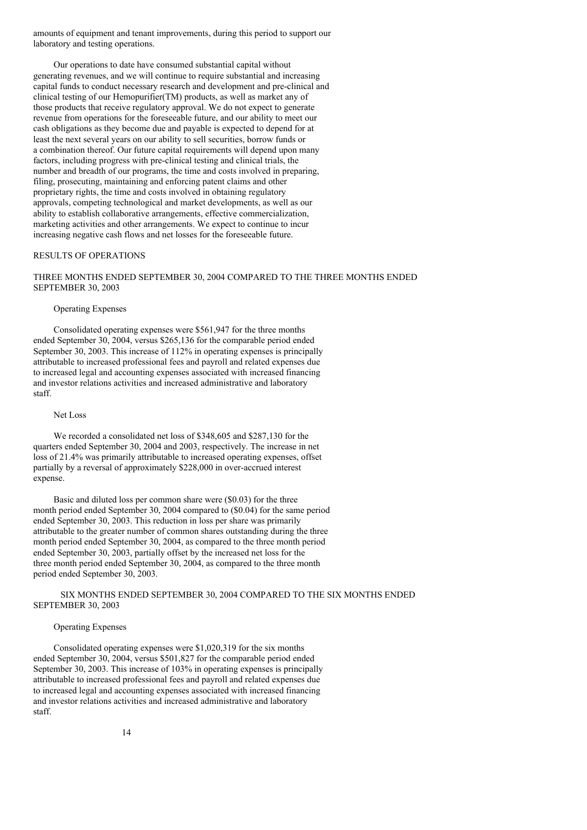amounts of equipment and tenant improvements, during this period to support our laboratory and testing operations.

Our operations to date have consumed substantial capital without generating revenues, and we will continue to require substantial and increasing capital funds to conduct necessary research and development and pre-clinical and clinical testing of our Hemopurifier(TM) products, as well as market any of those products that receive regulatory approval. We do not expect to generate revenue from operations for the foreseeable future, and our ability to meet our cash obligations as they become due and payable is expected to depend for at least the next several years on our ability to sell securities, borrow funds or a combination thereof. Our future capital requirements will depend upon many factors, including progress with pre-clinical testing and clinical trials, the number and breadth of our programs, the time and costs involved in preparing, filing, prosecuting, maintaining and enforcing patent claims and other proprietary rights, the time and costs involved in obtaining regulatory approvals, competing technological and market developments, as well as our ability to establish collaborative arrangements, effective commercialization, marketing activities and other arrangements. We expect to continue to incur increasing negative cash flows and net losses for the foreseeable future.

# RESULTS OF OPERATIONS

# THREE MONTHS ENDED SEPTEMBER 30, 2004 COMPARED TO THE THREE MONTHS ENDED SEPTEMBER 30, 2003

# Operating Expenses

Consolidated operating expenses were \$561,947 for the three months ended September 30, 2004, versus \$265,136 for the comparable period ended September 30, 2003. This increase of 112% in operating expenses is principally attributable to increased professional fees and payroll and related expenses due to increased legal and accounting expenses associated with increased financing and investor relations activities and increased administrative and laboratory staff.

#### Net Loss

We recorded a consolidated net loss of \$348,605 and \$287,130 for the quarters ended September 30, 2004 and 2003, respectively. The increase in net loss of 21.4% was primarily attributable to increased operating expenses, offset partially by a reversal of approximately \$228,000 in over-accrued interest expense.

Basic and diluted loss per common share were (\$0.03) for the three month period ended September 30, 2004 compared to (\$0.04) for the same period ended September 30, 2003. This reduction in loss per share was primarily attributable to the greater number of common shares outstanding during the three month period ended September 30, 2004, as compared to the three month period ended September 30, 2003, partially offset by the increased net loss for the three month period ended September 30, 2004, as compared to the three month period ended September 30, 2003.

## SIX MONTHS ENDED SEPTEMBER 30, 2004 COMPARED TO THE SIX MONTHS ENDED SEPTEMBER 30, 2003

#### Operating Expenses

Consolidated operating expenses were \$1,020,319 for the six months ended September 30, 2004, versus \$501,827 for the comparable period ended September 30, 2003. This increase of 103% in operating expenses is principally attributable to increased professional fees and payroll and related expenses due to increased legal and accounting expenses associated with increased financing and investor relations activities and increased administrative and laboratory staff.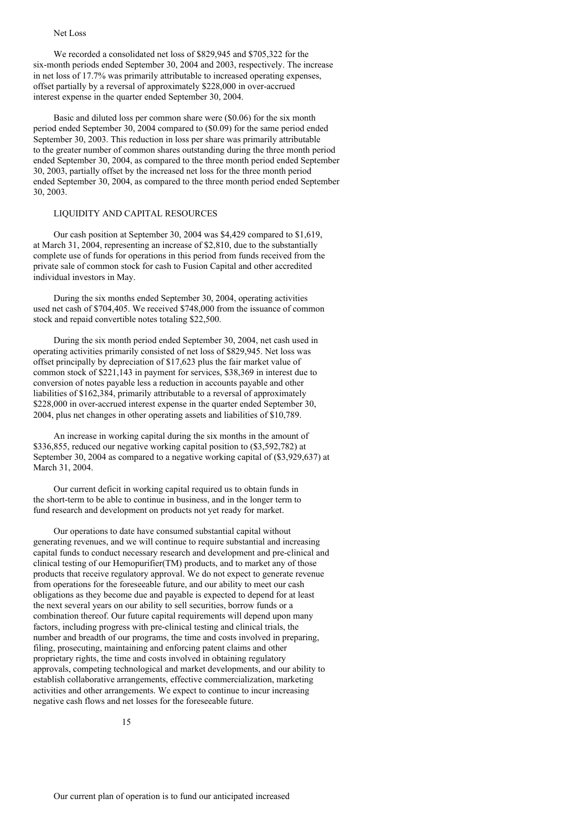#### Net Loss

We recorded a consolidated net loss of \$829,945 and \$705,322 for the six-month periods ended September 30, 2004 and 2003, respectively. The increase in net loss of 17.7% was primarily attributable to increased operating expenses, offset partially by a reversal of approximately \$228,000 in over-accrued interest expense in the quarter ended September 30, 2004.

Basic and diluted loss per common share were (\$0.06) for the six month period ended September 30, 2004 compared to (\$0.09) for the same period ended September 30, 2003. This reduction in loss per share was primarily attributable to the greater number of common shares outstanding during the three month period ended September 30, 2004, as compared to the three month period ended September 30, 2003, partially offset by the increased net loss for the three month period ended September 30, 2004, as compared to the three month period ended September 30, 2003.

# LIQUIDITY AND CAPITAL RESOURCES

Our cash position at September 30, 2004 was \$4,429 compared to \$1,619, at March 31, 2004, representing an increase of \$2,810, due to the substantially complete use of funds for operations in this period from funds received from the private sale of common stock for cash to Fusion Capital and other accredited individual investors in May.

During the six months ended September 30, 2004, operating activities used net cash of \$704,405. We received \$748,000 from the issuance of common stock and repaid convertible notes totaling \$22,500.

During the six month period ended September 30, 2004, net cash used in operating activities primarily consisted of net loss of \$829,945. Net loss was offset principally by depreciation of \$17,623 plus the fair market value of common stock of \$221,143 in payment for services, \$38,369 in interest due to conversion of notes payable less a reduction in accounts payable and other liabilities of \$162,384, primarily attributable to a reversal of approximately \$228,000 in over-accrued interest expense in the quarter ended September 30, 2004, plus net changes in other operating assets and liabilities of \$10,789.

An increase in working capital during the six months in the amount of \$336,855, reduced our negative working capital position to (\$3,592,782) at September 30, 2004 as compared to a negative working capital of (\$3,929,637) at March 31, 2004.

Our current deficit in working capital required us to obtain funds in the short-term to be able to continue in business, and in the longer term to fund research and development on products not yet ready for market.

Our operations to date have consumed substantial capital without generating revenues, and we will continue to require substantial and increasing capital funds to conduct necessary research and development and pre-clinical and clinical testing of our Hemopurifier(TM) products, and to market any of those products that receive regulatory approval. We do not expect to generate revenue from operations for the foreseeable future, and our ability to meet our cash obligations as they become due and payable is expected to depend for at least the next several years on our ability to sell securities, borrow funds or a combination thereof. Our future capital requirements will depend upon many factors, including progress with pre-clinical testing and clinical trials, the number and breadth of our programs, the time and costs involved in preparing, filing, prosecuting, maintaining and enforcing patent claims and other proprietary rights, the time and costs involved in obtaining regulatory approvals, competing technological and market developments, and our ability to establish collaborative arrangements, effective commercialization, marketing activities and other arrangements. We expect to continue to incur increasing negative cash flows and net losses for the foreseeable future.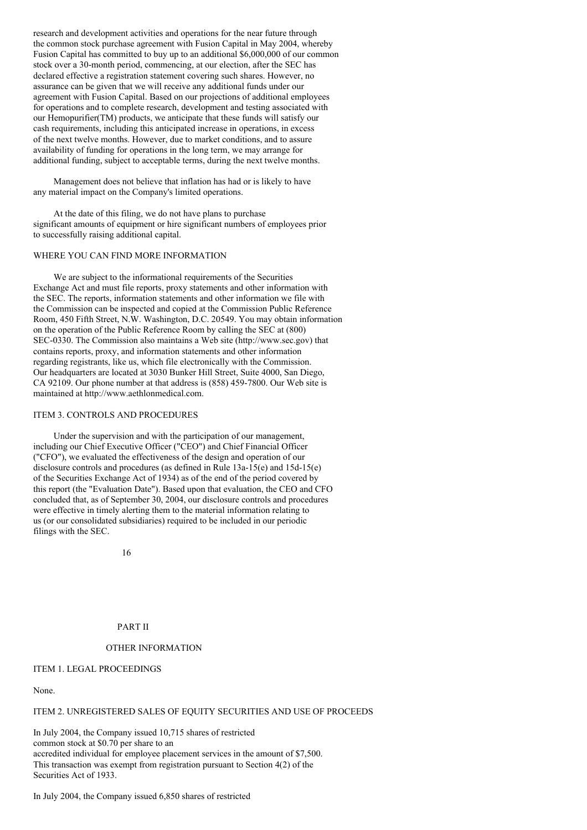research and development activities and operations for the near future through the common stock purchase agreement with Fusion Capital in May 2004, whereby Fusion Capital has committed to buy up to an additional \$6,000,000 of our common stock over a 30-month period, commencing, at our election, after the SEC has declared effective a registration statement covering such shares. However, no assurance can be given that we will receive any additional funds under our agreement with Fusion Capital. Based on our projections of additional employees for operations and to complete research, development and testing associated with our Hemopurifier(TM) products, we anticipate that these funds will satisfy our cash requirements, including this anticipated increase in operations, in excess of the next twelve months. However, due to market conditions, and to assure availability of funding for operations in the long term, we may arrange for additional funding, subject to acceptable terms, during the next twelve months.

Management does not believe that inflation has had or is likely to have any material impact on the Company's limited operations.

At the date of this filing, we do not have plans to purchase significant amounts of equipment or hire significant numbers of employees prior to successfully raising additional capital.

# WHERE YOU CAN FIND MORE INFORMATION

We are subject to the informational requirements of the Securities Exchange Act and must file reports, proxy statements and other information with the SEC. The reports, information statements and other information we file with the Commission can be inspected and copied at the Commission Public Reference Room, 450 Fifth Street, N.W. Washington, D.C. 20549. You may obtain information on the operation of the Public Reference Room by calling the SEC at (800) SEC-0330. The Commission also maintains a Web site (http://www.sec.gov) that contains reports, proxy, and information statements and other information regarding registrants, like us, which file electronically with the Commission. Our headquarters are located at 3030 Bunker Hill Street, Suite 4000, San Diego, CA 92109. Our phone number at that address is (858) 459-7800. Our Web site is maintained at http://www.aethlonmedical.com.

#### ITEM 3. CONTROLS AND PROCEDURES

Under the supervision and with the participation of our management, including our Chief Executive Officer ("CEO") and Chief Financial Officer ("CFO"), we evaluated the effectiveness of the design and operation of our disclosure controls and procedures (as defined in Rule 13a-15(e) and 15d-15(e) of the Securities Exchange Act of 1934) as of the end of the period covered by this report (the "Evaluation Date"). Based upon that evaluation, the CEO and CFO concluded that, as of September 30, 2004, our disclosure controls and procedures were effective in timely alerting them to the material information relating to us (or our consolidated subsidiaries) required to be included in our periodic filings with the SEC.

16

# PART II

#### OTHER INFORMATION

#### ITEM 1. LEGAL PROCEEDINGS

None.

## ITEM 2. UNREGISTERED SALES OF EQUITY SECURITIES AND USE OF PROCEEDS

In July 2004, the Company issued 10,715 shares of restricted common stock at \$0.70 per share to an accredited individual for employee placement services in the amount of \$7,500. This transaction was exempt from registration pursuant to Section 4(2) of the Securities Act of 1933.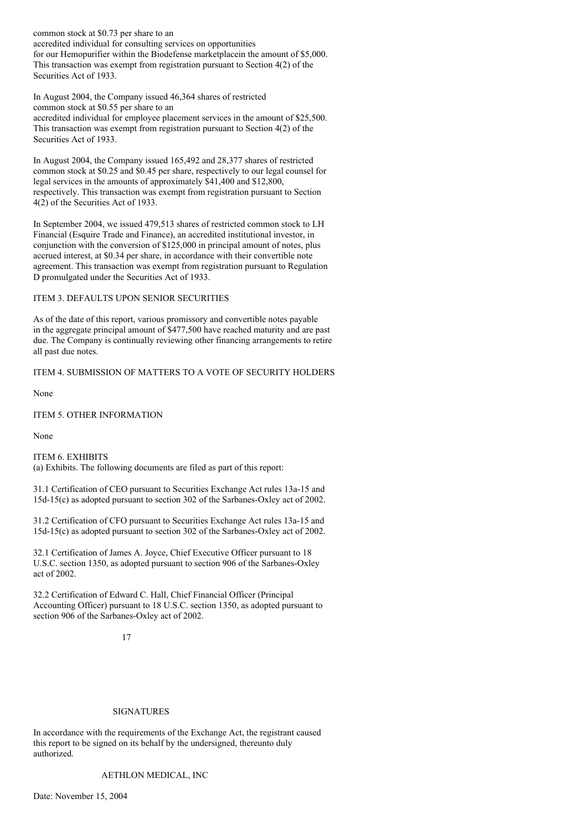common stock at \$0.73 per share to an accredited individual for consulting services on opportunities for our Hemopurifier within the Biodefense marketplacein the amount of \$5,000. This transaction was exempt from registration pursuant to Section 4(2) of the Securities Act of 1933.

In August 2004, the Company issued 46,364 shares of restricted common stock at \$0.55 per share to an

accredited individual for employee placement services in the amount of \$25,500. This transaction was exempt from registration pursuant to Section 4(2) of the Securities Act of 1933.

In August 2004, the Company issued 165,492 and 28,377 shares of restricted common stock at \$0.25 and \$0.45 per share, respectively to our legal counsel for legal services in the amounts of approximately \$41,400 and \$12,800, respectively. This transaction was exempt from registration pursuant to Section 4(2) of the Securities Act of 1933.

In September 2004, we issued 479,513 shares of restricted common stock to LH Financial (Esquire Trade and Finance), an accredited institutional investor, in conjunction with the conversion of \$125,000 in principal amount of notes, plus accrued interest, at \$0.34 per share, in accordance with their convertible note agreement. This transaction was exempt from registration pursuant to Regulation D promulgated under the Securities Act of 1933.

ITEM 3. DEFAULTS UPON SENIOR SECURITIES

As of the date of this report, various promissory and convertible notes payable in the aggregate principal amount of \$477,500 have reached maturity and are past due. The Company is continually reviewing other financing arrangements to retire all past due notes.

ITEM 4. SUBMISSION OF MATTERS TO A VOTE OF SECURITY HOLDERS

None

ITEM 5. OTHER INFORMATION

None

ITEM 6. EXHIBITS (a) Exhibits. The following documents are filed as part of this report:

31.1 Certification of CEO pursuant to Securities Exchange Act rules 13a-15 and 15d-15(c) as adopted pursuant to section 302 of the Sarbanes-Oxley act of 2002.

31.2 Certification of CFO pursuant to Securities Exchange Act rules 13a-15 and 15d-15(c) as adopted pursuant to section 302 of the Sarbanes-Oxley act of 2002.

32.1 Certification of James A. Joyce, Chief Executive Officer pursuant to 18 U.S.C. section 1350, as adopted pursuant to section 906 of the Sarbanes-Oxley act of 2002.

32.2 Certification of Edward C. Hall, Chief Financial Officer (Principal Accounting Officer) pursuant to 18 U.S.C. section 1350, as adopted pursuant to section 906 of the Sarbanes-Oxley act of 2002.

# 17

# SIGNATURES

In accordance with the requirements of the Exchange Act, the registrant caused this report to be signed on its behalf by the undersigned, thereunto duly authorized.

AETHLON MEDICAL, INC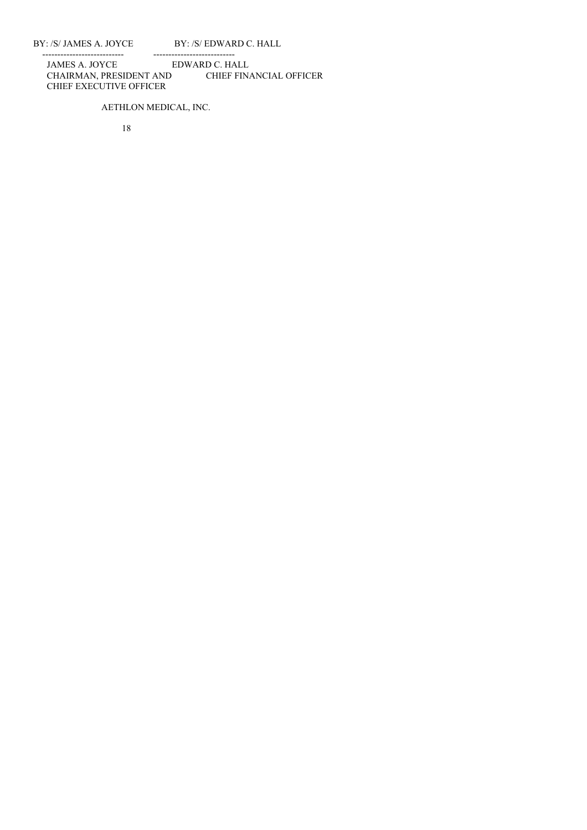BY: /S/ JAMES A. JOYCE BY: /S/ EDWARD C. HALL

--------------------------- --------------------------- JAMES A. JOYCE EDWARD C. HALL CHAIRMAN, PRESIDENT AND CHIEF FINANCIAL OFFICER CHIEF EXECUTIVE OFFICER

# AETHLON MEDICAL, INC.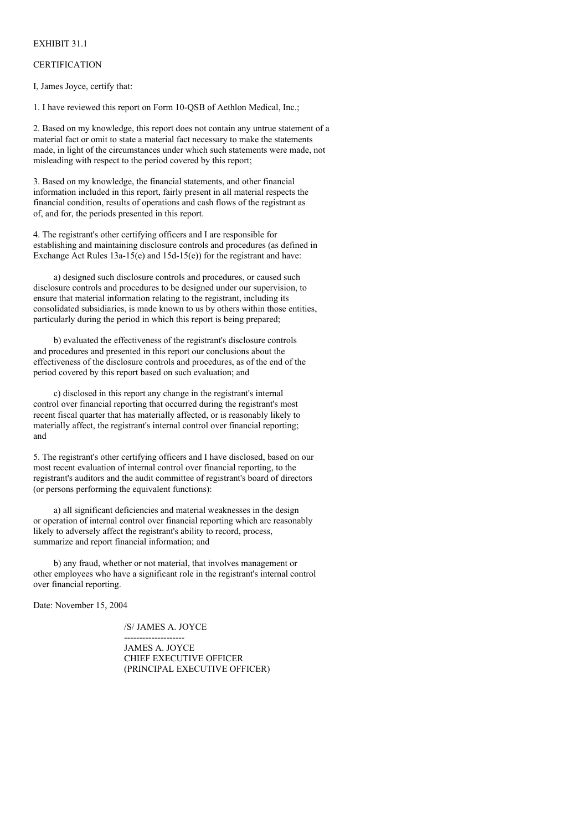# EXHIBIT 31.1

# **CERTIFICATION**

I, James Joyce, certify that:

1. I have reviewed this report on Form 10-QSB of Aethlon Medical, Inc.;

2. Based on my knowledge, this report does not contain any untrue statement of a material fact or omit to state a material fact necessary to make the statements made, in light of the circumstances under which such statements were made, not misleading with respect to the period covered by this report;

3. Based on my knowledge, the financial statements, and other financial information included in this report, fairly present in all material respects the financial condition, results of operations and cash flows of the registrant as of, and for, the periods presented in this report.

4. The registrant's other certifying officers and I are responsible for establishing and maintaining disclosure controls and procedures (as defined in Exchange Act Rules  $13a-15(e)$  and  $15d-15(e)$  for the registrant and have:

a) designed such disclosure controls and procedures, or caused such disclosure controls and procedures to be designed under our supervision, to ensure that material information relating to the registrant, including its consolidated subsidiaries, is made known to us by others within those entities, particularly during the period in which this report is being prepared;

b) evaluated the effectiveness of the registrant's disclosure controls and procedures and presented in this report our conclusions about the effectiveness of the disclosure controls and procedures, as of the end of the period covered by this report based on such evaluation; and

c) disclosed in this report any change in the registrant's internal control over financial reporting that occurred during the registrant's most recent fiscal quarter that has materially affected, or is reasonably likely to materially affect, the registrant's internal control over financial reporting; and

5. The registrant's other certifying officers and I have disclosed, based on our most recent evaluation of internal control over financial reporting, to the registrant's auditors and the audit committee of registrant's board of directors (or persons performing the equivalent functions):

a) all significant deficiencies and material weaknesses in the design or operation of internal control over financial reporting which are reasonably likely to adversely affect the registrant's ability to record, process, summarize and report financial information; and

b) any fraud, whether or not material, that involves management or other employees who have a significant role in the registrant's internal control over financial reporting.

Date: November 15, 2004

/S/ JAMES A. JOYCE --------------------

JAMES A. JOYCE CHIEF EXECUTIVE OFFICER (PRINCIPAL EXECUTIVE OFFICER)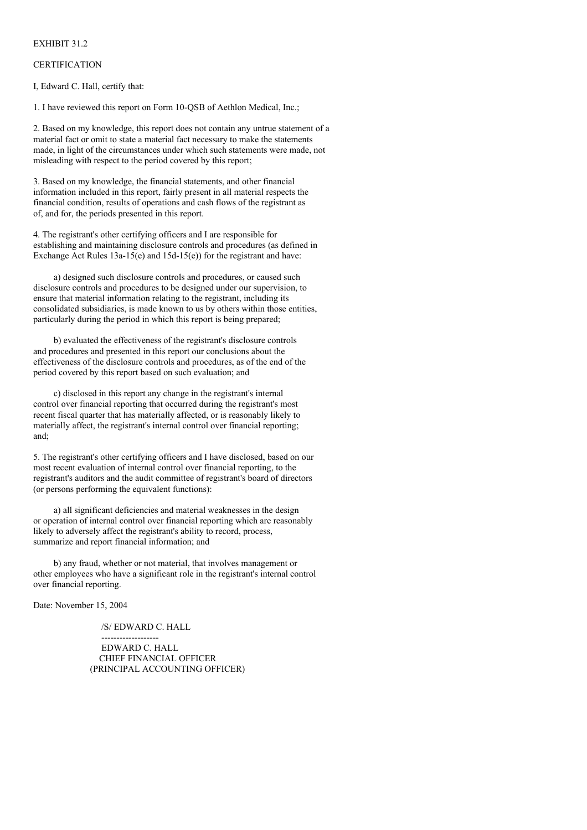# EXHIBIT 31.2

# **CERTIFICATION**

I, Edward C. Hall, certify that:

1. I have reviewed this report on Form 10-QSB of Aethlon Medical, Inc.;

2. Based on my knowledge, this report does not contain any untrue statement of a material fact or omit to state a material fact necessary to make the statements made, in light of the circumstances under which such statements were made, not misleading with respect to the period covered by this report;

3. Based on my knowledge, the financial statements, and other financial information included in this report, fairly present in all material respects the financial condition, results of operations and cash flows of the registrant as of, and for, the periods presented in this report.

4. The registrant's other certifying officers and I are responsible for establishing and maintaining disclosure controls and procedures (as defined in Exchange Act Rules  $13a-15(e)$  and  $15d-15(e)$  for the registrant and have:

a) designed such disclosure controls and procedures, or caused such disclosure controls and procedures to be designed under our supervision, to ensure that material information relating to the registrant, including its consolidated subsidiaries, is made known to us by others within those entities, particularly during the period in which this report is being prepared;

b) evaluated the effectiveness of the registrant's disclosure controls and procedures and presented in this report our conclusions about the effectiveness of the disclosure controls and procedures, as of the end of the period covered by this report based on such evaluation; and

c) disclosed in this report any change in the registrant's internal control over financial reporting that occurred during the registrant's most recent fiscal quarter that has materially affected, or is reasonably likely to materially affect, the registrant's internal control over financial reporting; and;

5. The registrant's other certifying officers and I have disclosed, based on our most recent evaluation of internal control over financial reporting, to the registrant's auditors and the audit committee of registrant's board of directors (or persons performing the equivalent functions):

a) all significant deficiencies and material weaknesses in the design or operation of internal control over financial reporting which are reasonably likely to adversely affect the registrant's ability to record, process, summarize and report financial information; and

b) any fraud, whether or not material, that involves management or other employees who have a significant role in the registrant's internal control over financial reporting.

Date: November 15, 2004

/S/ EDWARD C. HALL

------------------- EDWARD C. HALL CHIEF FINANCIAL OFFICER (PRINCIPAL ACCOUNTING OFFICER)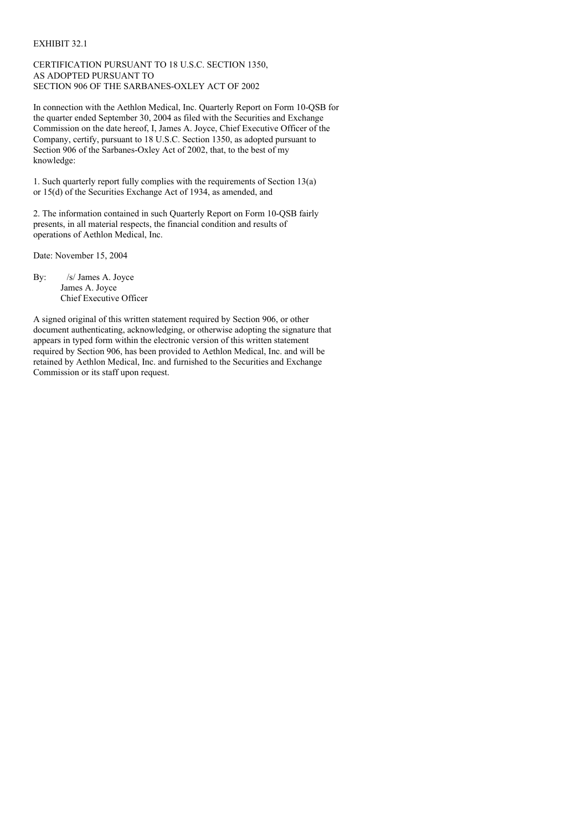# EXHIBIT 32.1

# CERTIFICATION PURSUANT TO 18 U.S.C. SECTION 1350, AS ADOPTED PURSUANT TO SECTION 906 OF THE SARBANES-OXLEY ACT OF 2002

In connection with the Aethlon Medical, Inc. Quarterly Report on Form 10-QSB for the quarter ended September 30, 2004 as filed with the Securities and Exchange Commission on the date hereof, I, James A. Joyce, Chief Executive Officer of the Company, certify, pursuant to 18 U.S.C. Section 1350, as adopted pursuant to Section 906 of the Sarbanes-Oxley Act of 2002, that, to the best of my knowledge:

1. Such quarterly report fully complies with the requirements of Section 13(a) or 15(d) of the Securities Exchange Act of 1934, as amended, and

2. The information contained in such Quarterly Report on Form 10-QSB fairly presents, in all material respects, the financial condition and results of operations of Aethlon Medical, Inc.

Date: November 15, 2004

By: /s/ James A. Joyce James A. Joyce Chief Executive Officer

A signed original of this written statement required by Section 906, or other document authenticating, acknowledging, or otherwise adopting the signature that appears in typed form within the electronic version of this written statement required by Section 906, has been provided to Aethlon Medical, Inc. and will be retained by Aethlon Medical, Inc. and furnished to the Securities and Exchange Commission or its staff upon request.